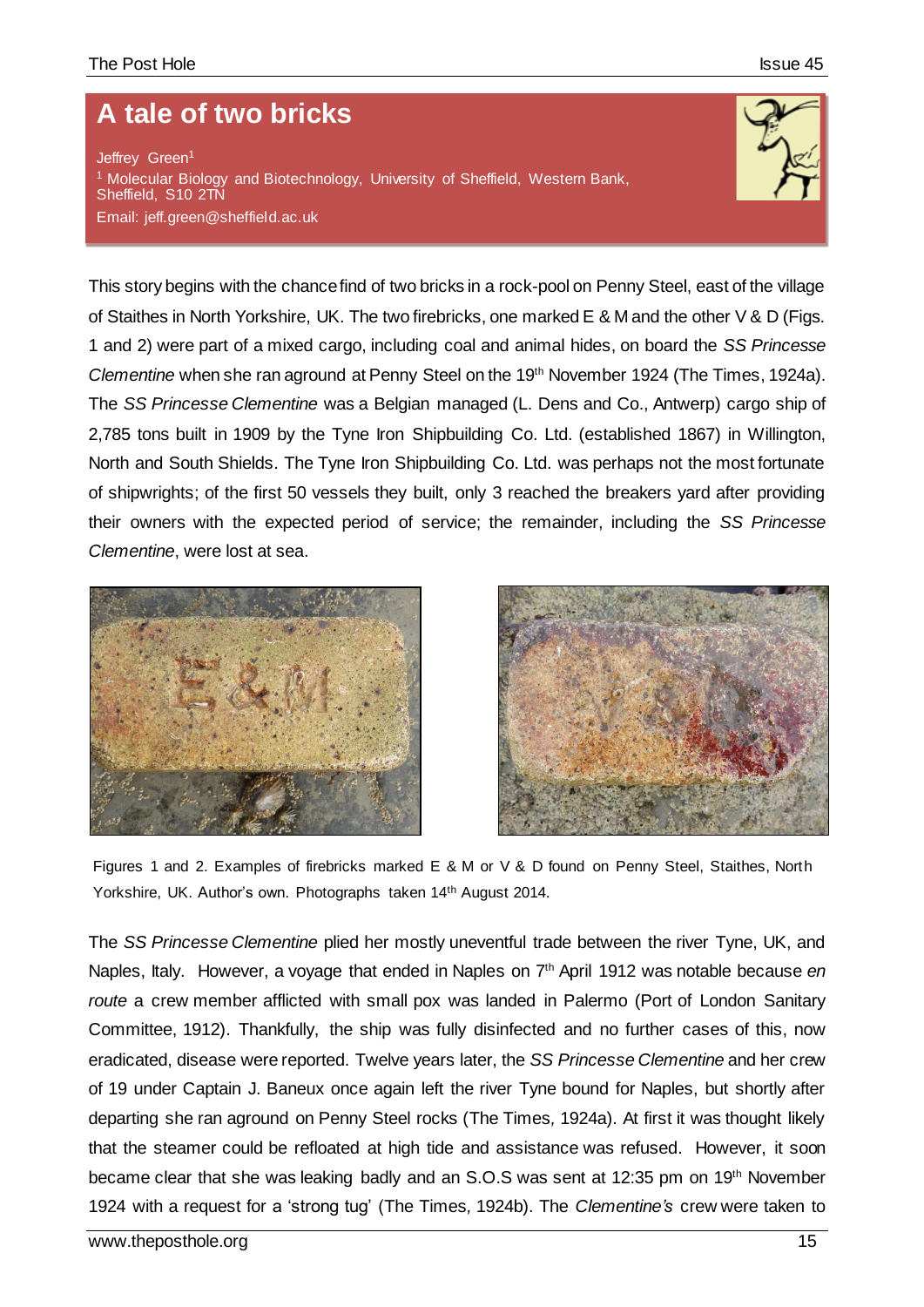## **A tale of two bricks**

Jeffrey Green<sup>1</sup> <sup>1</sup> Molecular Biology and Biotechnology, University of Sheffield, Western Bank, Sheffield, S10 2TN Email: jeff.green@sheffield.ac.uk



This story begins with the chance find of two bricks in a rock-pool on Penny Steel, east of the village of Staithes in North Yorkshire, UK. The two firebricks, one marked E & M and the other V & D (Figs. 1 and 2) were part of a mixed cargo, including coal and animal hides, on board the *SS Princesse Clementine* when she ran aground at Penny Steel on the 19th November 1924 (The Times, 1924a). The *SS Princesse Clementine* was a Belgian managed (L. Dens and Co., Antwerp) cargo ship of 2,785 tons built in 1909 by the Tyne Iron Shipbuilding Co. Ltd. (established 1867) in Willington, North and South Shields. The Tyne Iron Shipbuilding Co. Ltd. was perhaps not the most fortunate of shipwrights; of the first 50 vessels they built, only 3 reached the breakers yard after providing their owners with the expected period of service; the remainder, including the *SS Princesse Clementine*, were lost at sea.





Figures 1 and 2. Examples of firebricks marked E & M or V & D found on Penny Steel, Staithes, North Yorkshire, UK. Author's own. Photographs taken 14<sup>th</sup> August 2014.

The *SS Princesse Clementine* plied her mostly uneventful trade between the river Tyne, UK, and Naples, Italy. However, a voyage that ended in Naples on 7th April 1912 was notable because *en route* a crew member afflicted with small pox was landed in Palermo (Port of London Sanitary Committee, 1912). Thankfully, the ship was fully disinfected and no further cases of this, now eradicated, disease were reported. Twelve years later, the *SS Princesse Clementine* and her crew of 19 under Captain J. Baneux once again left the river Tyne bound for Naples, but shortly after departing she ran aground on Penny Steel rocks (The Times*,* 1924a). At first it was thought likely that the steamer could be refloated at high tide and assistance was refused. However, it soon became clear that she was leaking badly and an S.O.S was sent at 12:35 pm on 19th November 1924 with a request for a 'strong tug' (The Times*,* 1924b). The *Clementine's* crew were taken to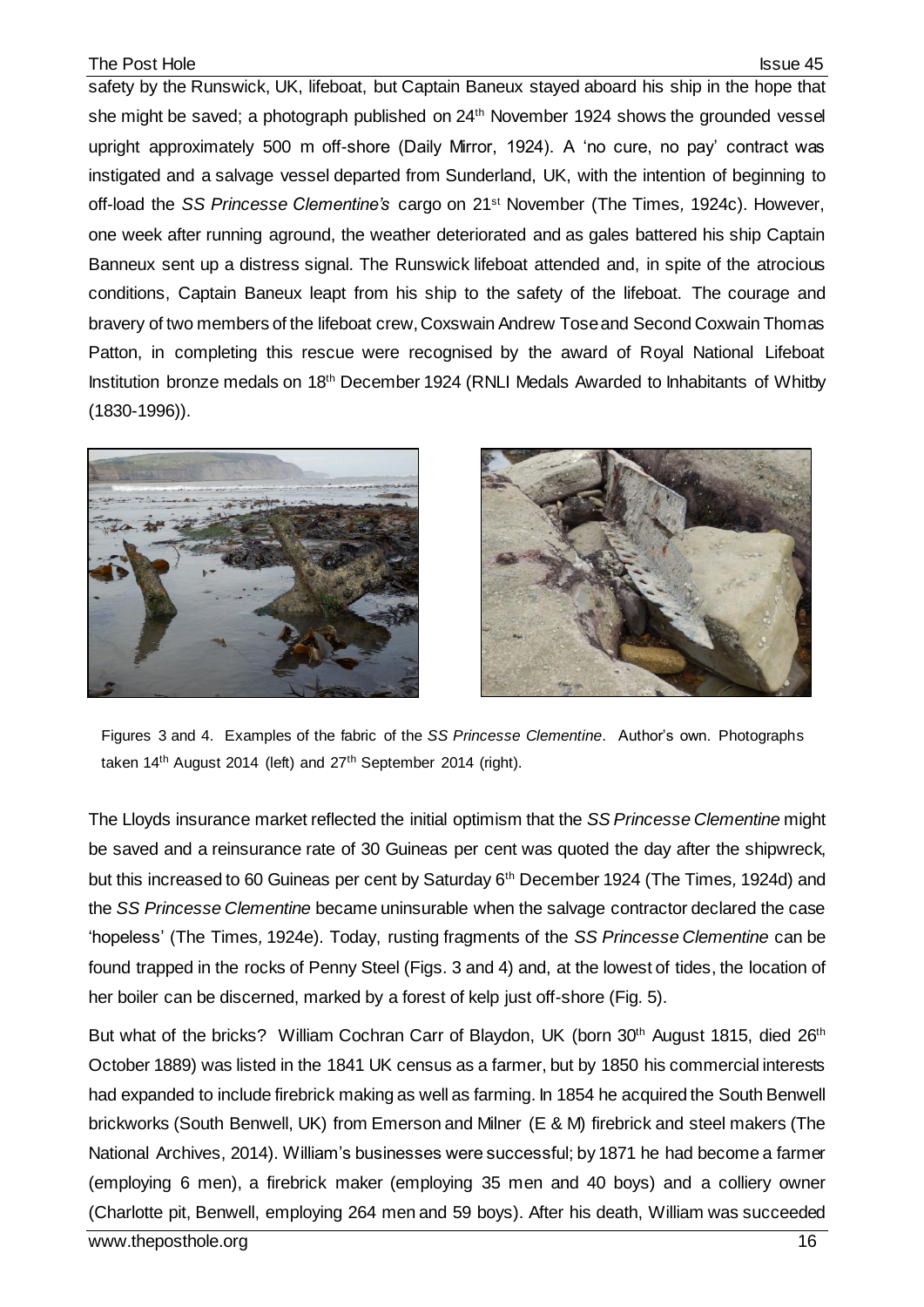## The Post Hole **Issue 45**

safety by the Runswick, UK, lifeboat, but Captain Baneux stayed aboard his ship in the hope that she might be saved; a photograph published on 24<sup>th</sup> November 1924 shows the grounded vessel upright approximately 500 m off-shore (Daily Mirror, 1924). A 'no cure, no pay' contract was instigated and a salvage vessel departed from Sunderland, UK, with the intention of beginning to off-load the *SS Princesse Clementine's* cargo on 21st November (The Times*,* 1924c). However, one week after running aground, the weather deteriorated and as gales battered his ship Captain Banneux sent up a distress signal. The Runswick lifeboat attended and, in spite of the atrocious conditions, Captain Baneux leapt from his ship to the safety of the lifeboat. The courage and bravery of two members of the lifeboat crew,Coxswain Andrew Tose and Second Coxwain Thomas Patton, in completing this rescue were recognised by the award of Royal National Lifeboat Institution bronze medals on 18th December 1924 (RNLI Medals Awarded to Inhabitants of Whitby (1830-1996)).





Figures 3 and 4. Examples of the fabric of the *SS Princesse Clementine*. Author's own. Photographs taken 14<sup>th</sup> August 2014 (left) and 27<sup>th</sup> September 2014 (right).

The Lloyds insurance market reflected the initial optimism that the *SS Princesse Clementine* might be saved and a reinsurance rate of 30 Guineas per cent was quoted the day after the shipwreck, but this increased to 60 Guineas per cent by Saturday 6th December 1924 (The Times*,* 1924d) and the *SS Princesse Clementine* became uninsurable when the salvage contractor declared the case 'hopeless' (The Times*,* 1924e). Today, rusting fragments of the *SS Princesse Clementine* can be found trapped in the rocks of Penny Steel (Figs. 3 and 4) and, at the lowest of tides, the location of her boiler can be discerned, marked by a forest of kelp just off-shore (Fig. 5).

But what of the bricks? William Cochran Carr of Blaydon, UK (born 30<sup>th</sup> August 1815, died 26<sup>th</sup> October 1889) was listed in the 1841 UK census as a farmer, but by 1850 his commercial interests had expanded to include firebrick making as well as farming. In 1854 he acquired the South Benwell brickworks (South Benwell, UK) from Emerson and Milner (E & M) firebrick and steel makers (The National Archives, 2014). William's businesses were successful; by 1871 he had become a farmer (employing 6 men), a firebrick maker (employing 35 men and 40 boys) and a colliery owner (Charlotte pit, Benwell, employing 264 men and 59 boys). After his death, William was succeeded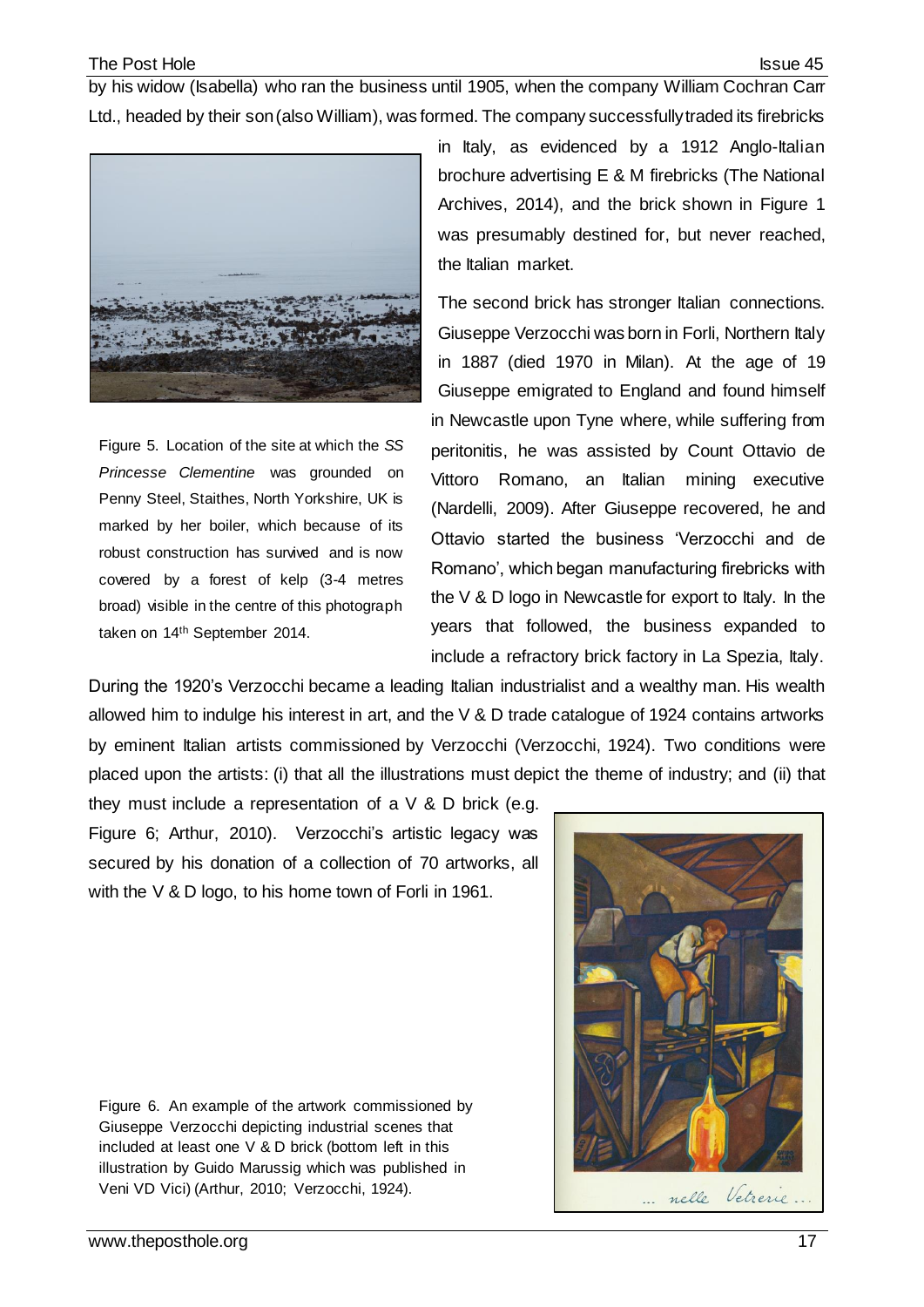by his widow (Isabella) who ran the business until 1905, when the company William Cochran Carr Ltd., headed by their son (also William), was formed. The company successfully traded its firebricks



Figure 5. Location of the site at which the *SS Princesse Clementine* was grounded on Penny Steel, Staithes, North Yorkshire, UK is marked by her boiler, which because of its robust construction has survived and is now covered by a forest of kelp (3-4 metres broad) visible in the centre of this photograph taken on 14th September 2014.

in Italy, as evidenced by a 1912 Anglo-Italian brochure advertising E & M firebricks (The National Archives, 2014), and the brick shown in Figure 1 was presumably destined for, but never reached, the Italian market.

The second brick has stronger Italian connections. Giuseppe Verzocchi was born in Forli, Northern Italy in 1887 (died 1970 in Milan). At the age of 19 Giuseppe emigrated to England and found himself in Newcastle upon Tyne where, while suffering from peritonitis, he was assisted by Count Ottavio de Vittoro Romano, an Italian mining executive (Nardelli, 2009). After Giuseppe recovered, he and Ottavio started the business 'Verzocchi and de Romano', which began manufacturing firebricks with the  $V$  & D logo in Newcastle for export to Italy. In the years that followed, the business expanded to include a refractory brick factory in La Spezia, Italy.

During the 1920's Verzocchi became a leading Italian industrialist and a wealthy man. His wealth allowed him to indulge his interest in art, and the V & D trade catalogue of 1924 contains artworks by eminent Italian artists commissioned by Verzocchi (Verzocchi, 1924). Two conditions were placed upon the artists: (i) that all the illustrations must depict the theme of industry; and (ii) that

they must include a representation of a  $\vee$  & D brick (e.g. Figure 6; Arthur, 2010). Verzocchi's artistic legacy was secured by his donation of a collection of 70 artworks, all with the V & D logo, to his home town of Forli in 1961.

Figure 6. An example of the artwork commissioned by Giuseppe Verzocchi depicting industrial scenes that included at least one V & D brick (bottom left in this illustration by Guido Marussig which was published in Veni VD Vici) (Arthur, 2010; Verzocchi, 1924).